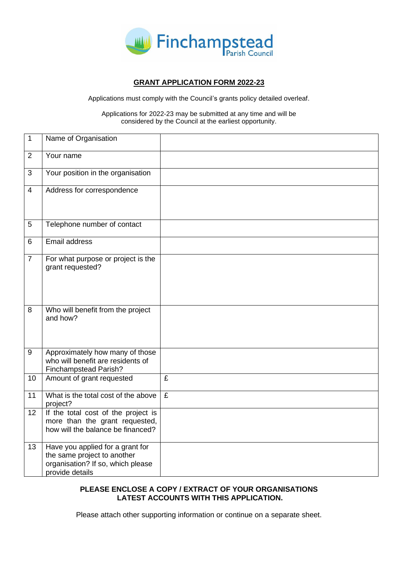

# **GRANT APPLICATION FORM 2022-23**

Applications must comply with the Council's grants policy detailed overleaf.

Applications for 2022-23 may be submitted at any time and will be considered by the Council at the earliest opportunity.

| 1              | Name of Organisation                                                                                                    |                         |
|----------------|-------------------------------------------------------------------------------------------------------------------------|-------------------------|
| $\overline{2}$ | Your name                                                                                                               |                         |
| 3              | Your position in the organisation                                                                                       |                         |
| $\overline{4}$ | Address for correspondence                                                                                              |                         |
| 5              | Telephone number of contact                                                                                             |                         |
| 6              | <b>Email address</b>                                                                                                    |                         |
| $\overline{7}$ | For what purpose or project is the<br>grant requested?                                                                  |                         |
| 8              | Who will benefit from the project<br>and how?                                                                           |                         |
| 9              | Approximately how many of those<br>who will benefit are residents of<br>Finchampstead Parish?                           |                         |
| 10             | Amount of grant requested                                                                                               | $\overline{\mathbf{f}}$ |
| 11             | What is the total cost of the above<br>project?                                                                         | $\overline{f}$          |
| 12             | If the total cost of the project is<br>more than the grant requested,<br>how will the balance be financed?              |                         |
| 13             | Have you applied for a grant for<br>the same project to another<br>organisation? If so, which please<br>provide details |                         |

# **PLEASE ENCLOSE A COPY / EXTRACT OF YOUR ORGANISATIONS LATEST ACCOUNTS WITH THIS APPLICATION.**

Please attach other supporting information or continue on a separate sheet.